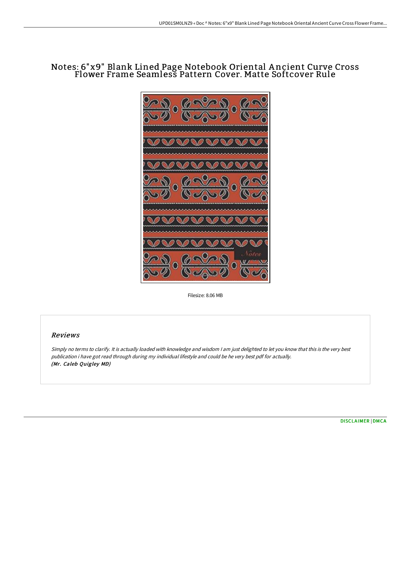# Notes: 6"x9" Blank Lined Page Notebook Oriental A ncient Curve Cross Flower Frame Seamless Pattern Cover. Matte Softcover Rule



Filesize: 8.06 MB

# Reviews

Simply no terms to clarify. It is actually loaded with knowledge and wisdom <sup>I</sup> am just delighted to let you know that this is the very best publication i have got read through during my individual lifestyle and could be he very best pdf for actually. (Mr. Caleb Quigley MD)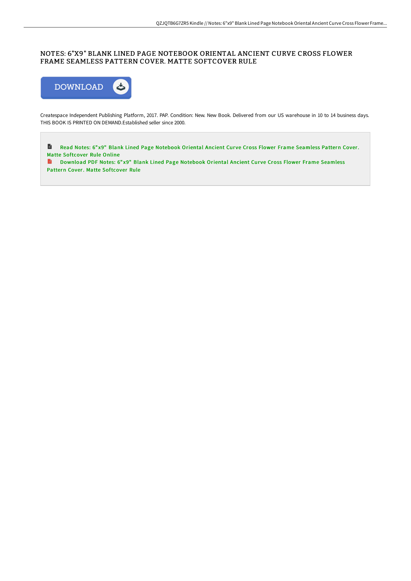# NOTES: 6"X9" BLANK LINED PAGE NOTEBOOK ORIENTAL ANCIENT CURVE CROSS FLOWER FRAME SEAMLESS PATTERN COVER. MATTE SOFTCOVER RULE



Createspace Independent Publishing Platform, 2017. PAP. Condition: New. New Book. Delivered from our US warehouse in 10 to 14 business days. THIS BOOK IS PRINTED ON DEMAND.Established seller since 2000.

 $\blacksquare$ Read Notes: 6" x9" Blank Lined Page Notebook Oriental Ancient Curve Cross Flower Frame Seamless Pattern Cover. Matte [Softcover](http://albedo.media/notes-6-quot-x9-quot-blank-lined-page-notebook-o-1.html) Rule Online

**D** [Download](http://albedo.media/notes-6-quot-x9-quot-blank-lined-page-notebook-o-1.html) PDF Notes: 6"x9" Blank Lined Page Notebook Oriental Ancient Curve Cross Flower Frame Seamless Pattern Cover. Matte Softcover Rule